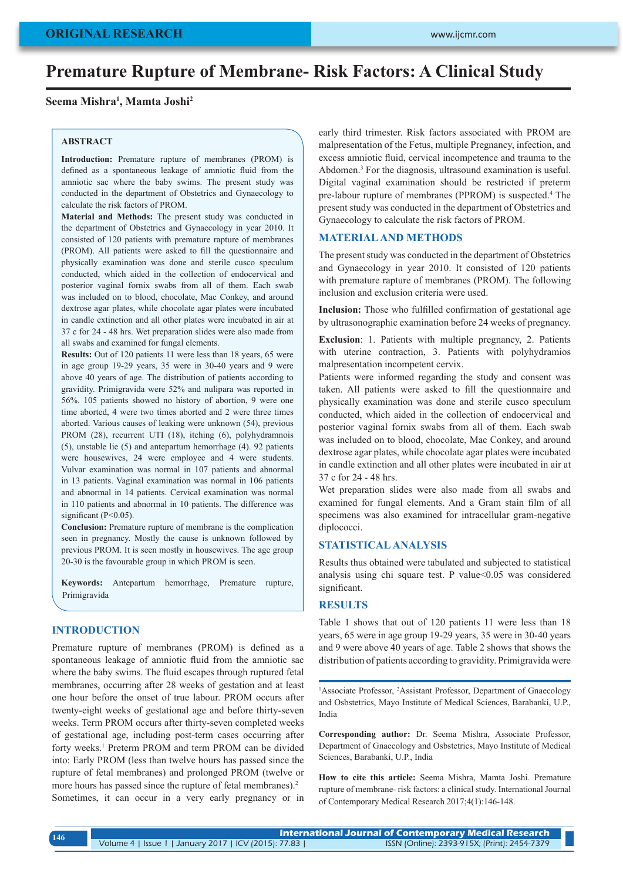# **Premature Rupture of Membrane- Risk Factors: A Clinical Study**

**Seema Mishra1 , Mamta Joshi2**

#### **ABSTRACT**

**Introduction:** Premature rupture of membranes (PROM) is defined as a spontaneous leakage of amniotic fluid from the amniotic sac where the baby swims. The present study was conducted in the department of Obstetrics and Gynaecology to calculate the risk factors of PROM.

**Material and Methods:** The present study was conducted in the department of Obstetrics and Gynaecology in year 2010. It consisted of 120 patients with premature rapture of membranes (PROM). All patients were asked to fill the questionnaire and physically examination was done and sterile cusco speculum conducted, which aided in the collection of endocervical and posterior vaginal fornix swabs from all of them. Each swab was included on to blood, chocolate, Mac Conkey, and around dextrose agar plates, while chocolate agar plates were incubated in candle extinction and all other plates were incubated in air at 37 c for 24 - 48 hrs. Wet preparation slides were also made from all swabs and examined for fungal elements.

**Results:** Out of 120 patients 11 were less than 18 years, 65 were in age group 19-29 years, 35 were in 30-40 years and 9 were above 40 years of age. The distribution of patients according to gravidity. Primigravida were 52% and nulipara was reported in 56%. 105 patients showed no history of abortion, 9 were one time aborted, 4 were two times aborted and 2 were three times aborted. Various causes of leaking were unknown (54), previous PROM (28), recurrent UTI (18), itching (6), polyhydramnois (5), unstable lie (5) and antepartum hemorrhage (4). 92 patients were housewives, 24 were employee and 4 were students. Vulvar examination was normal in 107 patients and abnormal in 13 patients. Vaginal examination was normal in 106 patients and abnormal in 14 patients. Cervical examination was normal in 110 patients and abnormal in 10 patients. The difference was significant (P<0.05).

**Conclusion:** Premature rupture of membrane is the complication seen in pregnancy. Mostly the cause is unknown followed by previous PROM. It is seen mostly in housewives. The age group 20-30 is the favourable group in which PROM is seen.

**Keywords:** Antepartum hemorrhage, Premature rupture, Primigravida

#### **INTRODUCTION**

Premature rupture of membranes (PROM) is defined as a spontaneous leakage of amniotic fluid from the amniotic sac where the baby swims. The fluid escapes through ruptured fetal membranes, occurring after 28 weeks of gestation and at least one hour before the onset of true labour. PROM occurs after twenty-eight weeks of gestational age and before thirty-seven weeks. Term PROM occurs after thirty-seven completed weeks of gestational age, including post-term cases occurring after forty weeks.<sup>1</sup> Preterm PROM and term PROM can be divided into: Early PROM (less than twelve hours has passed since the rupture of fetal membranes) and prolonged PROM (twelve or more hours has passed since the rupture of fetal membranes).<sup>2</sup> Sometimes, it can occur in a very early pregnancy or in

early third trimester. Risk factors associated with PROM are malpresentation of the Fetus, multiple Pregnancy, infection, and excess amniotic fluid, cervical incompetence and trauma to the Abdomen.<sup>3</sup> For the diagnosis, ultrasound examination is useful. Digital vaginal examination should be restricted if preterm pre-labour rupture of membranes (PPROM) is suspected.4 The present study was conducted in the department of Obstetrics and Gynaecology to calculate the risk factors of PROM.

# **MATERIAL AND METHODS**

The present study was conducted in the department of Obstetrics and Gynaecology in year 2010. It consisted of 120 patients with premature rapture of membranes (PROM). The following inclusion and exclusion criteria were used.

**Inclusion:** Those who fulfilled confirmation of gestational age by ultrasonographic examination before 24 weeks of pregnancy.

**Exclusion**: 1. Patients with multiple pregnancy, 2. Patients with uterine contraction, 3. Patients with polyhydramios malpresentation incompetent cervix.

Patients were informed regarding the study and consent was taken. All patients were asked to fill the questionnaire and physically examination was done and sterile cusco speculum conducted, which aided in the collection of endocervical and posterior vaginal fornix swabs from all of them. Each swab was included on to blood, chocolate, Mac Conkey, and around dextrose agar plates, while chocolate agar plates were incubated in candle extinction and all other plates were incubated in air at 37 c for 24 - 48 hrs.

Wet preparation slides were also made from all swabs and examined for fungal elements. And a Gram stain film of all specimens was also examined for intracellular gram-negative diplococci.

### **STATISTICAL ANALYSIS**

Results thus obtained were tabulated and subjected to statistical analysis using chi square test. P value<0.05 was considered significant.

## **RESULTS**

Table 1 shows that out of 120 patients 11 were less than 18 years, 65 were in age group 19-29 years, 35 were in 30-40 years and 9 were above 40 years of age. Table 2 shows that shows the distribution of patients according to gravidity. Primigravida were

<sup>1</sup>Associate Professor, <sup>2</sup>Assistant Professor, Department of Gnaecology and Osbstetrics, Mayo Institute of Medical Sciences, Barabanki, U.P., India

**Corresponding author:** Dr. Seema Mishra, Associate Professor, Department of Gnaecology and Osbstetrics, Mayo Institute of Medical Sciences, Barabanki, U.P., India

**How to cite this article:** Seema Mishra, Mamta Joshi. Premature rupture of membrane- risk factors: a clinical study. International Journal of Contemporary Medical Research 2017;4(1):146-148.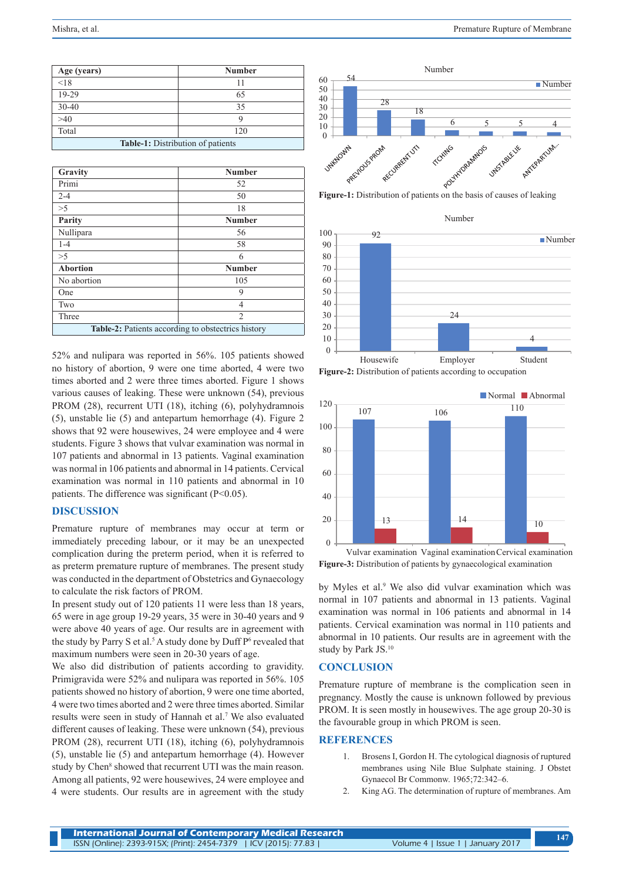| Age (years)                       | <b>Number</b> |
|-----------------------------------|---------------|
| < 18                              |               |
| 19-29                             | 65            |
| $30 - 40$                         | 35            |
| >40                               |               |
| Total                             | 120           |
| Table-1: Distribution of patients |               |

| Gravity                                            | <b>Number</b>  |
|----------------------------------------------------|----------------|
| Primi                                              | 52             |
| $2 - 4$                                            | 50             |
| >5                                                 | 18             |
| Parity                                             | <b>Number</b>  |
| Nullipara                                          | 56             |
| $1 - 4$                                            | 58             |
| $>\!5$                                             | 6              |
| <b>Abortion</b>                                    | <b>Number</b>  |
| No abortion                                        | 105            |
| One                                                | 9              |
| Two                                                | 4              |
| Three                                              | $\overline{2}$ |
| Table-2: Patients according to obstectrics history |                |

52% and nulipara was reported in 56%. 105 patients showed no history of abortion, 9 were one time aborted, 4 were two times aborted and 2 were three times aborted. Figure 1 shows various causes of leaking. These were unknown (54), previous PROM (28), recurrent UTI (18), itching (6), polyhydramnois (5), unstable lie (5) and antepartum hemorrhage (4). Figure 2 shows that 92 were housewives, 24 were employee and 4 were students. Figure 3 shows that vulvar examination was normal in 107 patients and abnormal in 13 patients. Vaginal examination was normal in 106 patients and abnormal in 14 patients. Cervical examination was normal in 110 patients and abnormal in 10 patients. The difference was significant (P<0.05).

## **DISCUSSION**

Premature rupture of membranes may occur at term or immediately preceding labour, or it may be an unexpected complication during the preterm period, when it is referred to as preterm premature rupture of membranes. The present study was conducted in the department of Obstetrics and Gynaecology to calculate the risk factors of PROM.

In present study out of 120 patients 11 were less than 18 years, 65 were in age group 19-29 years, 35 were in 30-40 years and 9 were above 40 years of age. Our results are in agreement with the study by Parry S et al.<sup>5</sup> A study done by Duff  $P<sup>6</sup>$  revealed that maximum numbers were seen in 20-30 years of age.

We also did distribution of patients according to gravidity. Primigravida were 52% and nulipara was reported in 56%. 105 patients showed no history of abortion, 9 were one time aborted, 4 were two times aborted and 2 were three times aborted. Similar results were seen in study of Hannah et al.<sup>7</sup> We also evaluated different causes of leaking. These were unknown (54), previous PROM (28), recurrent UTI (18), itching (6), polyhydramnois (5), unstable lie (5) and antepartum hemorrhage (4). However study by Chen<sup>8</sup> showed that recurrent UTI was the main reason. Among all patients, 92 were housewives, 24 were employee and 4 were students. Our results are in agreement with the study



Number



**Figure-2:** Distribution of patients according to occupation



Vulvar examination Vaginal examinationCervical examination **Figure-3:** Distribution of patients by gynaecological examination

by Myles et al.<sup>9</sup> We also did vulvar examination which was normal in 107 patients and abnormal in 13 patients. Vaginal examination was normal in 106 patients and abnormal in 14 patients. Cervical examination was normal in 110 patients and abnormal in 10 patients. Our results are in agreement with the study by Park JS.10

#### **CONCLUSION**

Premature rupture of membrane is the complication seen in pregnancy. Mostly the cause is unknown followed by previous PROM. It is seen mostly in housewives. The age group 20-30 is the favourable group in which PROM is seen.

# **REFERENCES**

- 1. Brosens I, Gordon H. The cytological diagnosis of ruptured membranes using Nile Blue Sulphate staining. J Obstet Gynaecol Br Commonw. 1965;72:342–6.
- 2. King AG. The determination of rupture of membranes. Am